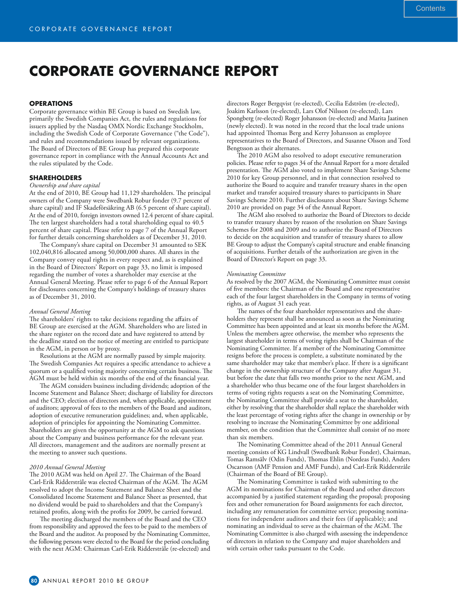# **CORPORATE GOVERNANCE REPORT**

# **OPERATIONS**

Corporate governance within BE Group is based on Swedish law, primarily the Swedish Companies Act, the rules and regulations for issuers applied by the Nasdaq OMX Nordic Exchange Stockholm, including the Swedish Code of Corporate Governance ("the Code"), and rules and recommendations issued by relevant organizations. The Board of Directors of BE Group has prepared this corporate governance report in compliance with the Annual Accounts Act and the rules stipulated by the Code.

# **SHAREHOLDERS**

## *Ownership and share capital*

At the end of 2010, BE Group had 11,129 shareholders. The principal owners of the Company were Swedbank Robur fonder (9.7 percent of share capital) and IF Skadeförsäkring AB (6.5 percent of share capital). At the end of 2010, foreign investors owned 12.4 percent of share capital. The ten largest shareholders had a total shareholding equal to 40.5 percent of share capital. Please refer to page 7 of the Annual Report for further details concerning shareholders as of December 31, 2010.

The Company's share capital on December 31 amounted to SEK 102,040,816 allocated among 50,000,000 shares. All shares in the Company convey equal rights in every respect and, as is explained in the Board of Directors' Report on page 33, no limit is imposed regarding the number of votes a shareholder may exercise at the Annual General Meeting. Please refer to page 6 of the Annual Report for disclosures concerning the Company's holdings of treasury shares as of December 31, 2010.

## *Annual General Meeting*

The shareholders' rights to take decisions regarding the affairs of BE Group are exercised at the AGM. Shareholders who are listed in the share register on the record date and have registered to attend by the deadline stated on the notice of meeting are entitled to participate in the AGM, in person or by proxy.

Resolutions at the AGM are normally passed by simple majority. The Swedish Companies Act requires a specific attendance to achieve a quorum or a qualified voting majority concerning certain business. The AGM must be held within six months of the end of the financial year.

The AGM considers business including dividends; adoption of the Income Statement and Balance Sheet; discharge of liability for directors and the CEO; election of directors and, when applicable, appointment of auditors; approval of fees to the members of the Board and auditors, adoption of executive remuneration guidelines; and, when applicable, adoption of principles for appointing the Nominating Committee. Shareholders are given the opportunity at the AGM to ask questions about the Company and business performance for the relevant year. All directors, management and the auditors are normally present at the meeting to answer such questions.

# *2010 Annual General Meeting*

The 2010 AGM was held on April 27. The Chairman of the Board Carl-Erik Ridderstråle was elected Chairman of the AGM. The AGM resolved to adopt the Income Statement and Balance Sheet and the Consolidated Income Statement and Balance Sheet as presented, that no dividend would be paid to shareholders and that the Company's retained profits, along with the profits for 2009, be carried forward.

The meeting discharged the members of the Board and the CEO from responsibility and approved the fees to be paid to the members of the Board and the auditor. As proposed by the Nominating Committee, the following persons were elected to the Board for the period concluding with the next AGM: Chairman Carl-Erik Ridderstråle (re-elected) and

directors Roger Bergqvist (re-elected), Cecilia Edström (re-elected), Joakim Karlsson (re-elected), Lars Olof Nilsson (re-elected), Lars Spongberg (re-elected) Roger Johansson (re-elected) and Marita Jaatinen (newly elected). It was noted in the record that the local trade unions had appointed Thomas Berg and Kerry Johansson as employee representatives to the Board of Directors, and Susanne Olsson and Tord Bengtsson as their alternates.

The 2010 AGM also resolved to adopt executive remuneration policies. Please refer to pages 34 of the Annual Report for a more detailed presentation. The AGM also voted to implement Share Savings Scheme 2010 for key Group personnel, and in that connection resolved to authorize the Board to acquire and transfer treasury shares in the open market and transfer acquired treasury shares to participants in Share Savings Scheme 2010. Further disclosures about Share Savings Scheme 2010 are provided on page 34 of the Annual Report.

The AGM also resolved to authorize the Board of Directors to decide to transfer treasury shares by reason of the resolution on Share Savings Schemes for 2008 and 2009 and to authorize the Board of Directors to decide on the acquisition and transfer of treasury shares to allow BE Group to adjust the Company's capital structure and enable financing of acquisitions. Further details of the authorization are given in the Board of Director's Report on page 33.

#### *Nominating Committee*

As resolved by the 2007 AGM, the Nominating Committee must consist of five members: the Chairman of the Board and one representative each of the four largest shareholders in the Company in terms of voting rights, as of August 31 each year.

The names of the four shareholder representatives and the shareholders they represent shall be announced as soon as the Nominating Committee has been appointed and at least six months before the AGM. Unless the members agree otherwise, the member who represents the largest shareholder in terms of voting rights shall be Chairman of the Nominating Committee. If a member of the Nominating Committee resigns before the process is complete, a substitute nominated by the same shareholder may take that member's place. If there is a significant change in the ownership structure of the Company after August 31, but before the date that falls two months prior to the next AGM, and a shareholder who thus became one of the four largest shareholders in terms of voting rights requests a seat on the Nominating Committee, the Nominating Committee shall provide a seat to the shareholder, either by resolving that the shareholder shall replace the shareholder with the least percentage of voting rights after the change in ownership or by resolving to increase the Nominating Committee by one additional member, on the condition that the Committee shall consist of no more than six members.

The Nominating Committee ahead of the 2011 Annual General meeting consists of KG Lindvall (Swedbank Robur Fonder), Chairman, Tomas Ramsälv (Odin Funds), Thomas Ehlin (Nordeas Funds), Anders Oscarsson (AMF Pension and AMF Funds), and Carl-Erik Ridderstråle (Chairman of the Board of BE Group).

The Nominating Committee is tasked with submitting to the AGM its nominations for Chairman of the Board and other directors accompanied by a justified statement regarding the proposal; proposing fees and other remuneration for Board assignments for each director, including any remuneration for committee service; proposing nominations for independent auditors and their fees (if applicable); and nominating an individual to serve as the chairman of the AGM. The Nominating Committee is also charged with assessing the independence of directors in relation to the Company and major shareholders and with certain other tasks pursuant to the Code.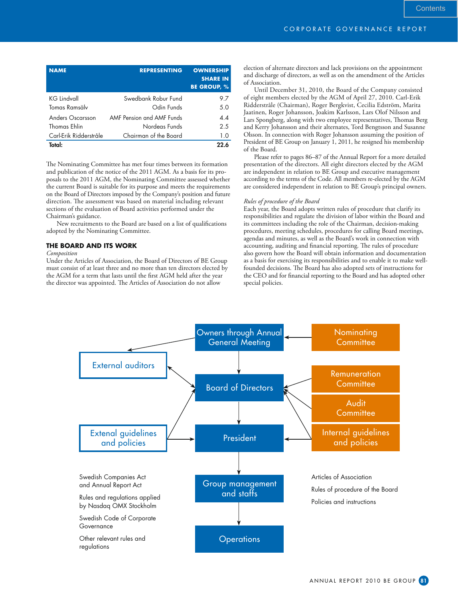| <b>NAME</b>            | <b>REPRESENTING</b>       | <b>OWNERSHIP</b><br><b>SHARE IN</b><br><b>BE GROUP, %</b> |
|------------------------|---------------------------|-----------------------------------------------------------|
| <b>KG Lindvall</b>     | Swedbank Robur Fund       | 9.7                                                       |
| Tomas Ramsälv          | Odin Funds                | 5.0                                                       |
| Anders Oscarsson       | AMF Pension and AMF Funds | 4.4                                                       |
| Thomas Ehlin           | Nordeas Funds             | 2.5                                                       |
| Carl-Erik Ridderstråle | Chairman of the Board     | 1.0                                                       |
| Total:                 |                           | クク ん                                                      |

The Nominating Committee has met four times between its formation and publication of the notice of the 2011 AGM. As a basis for its proposals to the 2011 AGM, the Nominating Committee assessed whether the current Board is suitable for its purpose and meets the requirements on the Board of Directors imposed by the Company's position and future direction. The assessment was based on material including relevant sections of the evaluation of Board activities performed under the Chairman's guidance.

New recruitments to the Board are based on a list of qualifications adopted by the Nominating Committee.

# **THE BOARD AND ITS WORK**

## *Composition*

Under the Articles of Association, the Board of Directors of BE Group must consist of at least three and no more than ten directors elected by the AGM for a term that lasts until the first AGM held after the year the director was appointed. The Articles of Association do not allow

election of alternate directors and lack provisions on the appointment and discharge of directors, as well as on the amendment of the Articles of Association.

Until December 31, 2010, the Board of the Company consisted of eight members elected by the AGM of April 27, 2010. Carl-Erik Ridderstråle (Chairman), Roger Bergkvist, Cecilia Edström, Marita Jaatinen, Roger Johansson, Joakim Karlsson, Lars Olof Nilsson and Lars Spongberg, along with two employee representatives, Thomas Berg and Kerry Johansson and their alternates, Tord Bengtsson and Susanne Olsson. In connection with Roger Johansson assuming the position of President of BE Group on January 1, 2011, he resigned his membership of the Board.

Please refer to pages 86–87 of the Annual Report for a more detailed presentation of the directors. All eight directors elected by the AGM are independent in relation to BE Group and executive management according to the terms of the Code. All members re-elected by the AGM are considered independent in relation to BE Group's principal owners.

### *Rules of procedure of the Board*

Each year, the Board adopts written rules of procedure that clarify its responsibilities and regulate the division of labor within the Board and its committees including the role of the Chairman, decision-making procedures, meeting schedules, procedures for calling Board meetings, agendas and minutes, as well as the Board's work in connection with accounting, auditing and financial reporting. The rules of procedure also govern how the Board will obtain information and documentation as a basis for exercising its responsibilities and to enable it to make wellfounded decisions. The Board has also adopted sets of instructions for the CEO and for financial reporting to the Board and has adopted other special policies.

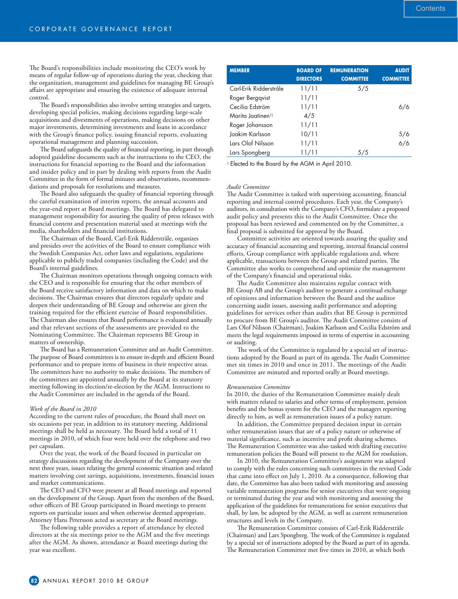The Board's responsibilities include monitoring the CEO's work by means of regular follow-up of operations during the year, checking that the organization, management and guidelines for managing BE Group's affairs are appropriate and ensuring the existence of adequate internal control.

The Board's responsibilities also involve setting strategies and targets, developing special policies, making decisions regarding large-scale acquisitions and divestments of operations, making decisions on other major investments, determining investments and loans in accordance with the Group's finance policy, issuing financial reports, evaluating operational management and planning succession.

The Board safeguards the quality of financial reporting, in part through adopted guideline documents such as the instructions to the CEO, the instructions for financial reporting to the Board and the information and insider policy and in part by dealing with reports from the Audit Committee in the form of formal minutes and observations, recommendations and proposals for resolutions and measures.

The Board also safeguards the quality of financial reporting through the careful examination of interim reports, the annual accounts and the year-end report at Board meetings. The Board has delegated to management responsibility for assuring the quality of press releases with financial content and presentation material used at meetings with the media, shareholders and financial institutions.

The Chairman of the Board, Carl-Erik Ridderstråle, organizes and presides over the activities of the Board to ensure compliance with the Swedish Companies Act, other laws and regulations, regulations applicable to publicly traded companies (including the Code) and the Board's internal guidelines.

The Chairman monitors operations through ongoing contacts with the CEO and is responsible for ensuring that the other members of the Board receive satisfactory information and data on which to make decisions. The Chairman ensures that directors regularly update and deepen their understanding of BE Group and otherwise are given the training required for the efficient exercise of Board responsibilities. The Chairman also ensures that Board performance is evaluated annually and that relevant sections of the assessments are provided to the Nominating Committee. The Chairman represents BE Group in matters of ownership.

The Board has a Remuneration Committee and an Audit Committee. The purpose of Board committees is to ensure in-depth and efficient Board performance and to prepare items of business in their respective areas. The committees have no authority to make decisions. The members of the committees are appointed annually by the Board at its statutory meeting following its election/re-election by the AGM. Instructions to the Audit Committee are included in the agenda of the Board.

#### *Work of the Board in 2010*

According to the current rules of procedure, the Board shall meet on six occasions per year, in addition to its statutory meeting. Additional meetings shall be held as necessary. The Board held a total of 11 meetings in 2010, of which four were held over the telephone and two per capsulam.

Over the year, the work of the Board focused in particular on strategy discussions regarding the development of the Company over the next three years, issues relating the general economic situation and related matters involving cost savings, acquisitions, investments, financial issues and market communications.

The CEO and CFO were present at all Board meetings and reported on the development of the Group. Apart from the members of the Board, other officers of BE Group participated in Board meetings to present reports on particular issues and when otherwise deemed appropriate. Attorney Hans Petersson acted as secretary at the Board meetings.

The following table provides a report of attendance by elected directors at the six meetings prior to the AGM and the five meetings after the AGM. As shown, attendance at Board meetings during the year was excellent.

| <b>MEMBER</b>                 | <b>BOARD OF</b><br><b>DIRECTORS</b> | <b>REMUNERATION</b><br><b>COMMITTEE</b> | <b>AUDIT</b><br><b>COMMITTEE</b> |
|-------------------------------|-------------------------------------|-----------------------------------------|----------------------------------|
| Carl-Erik Ridderstråle        | 11/11                               | 5/5                                     |                                  |
| Roger Berggvist               | 11/11                               |                                         |                                  |
| Cecilia Edström               | 11/11                               |                                         | 6/6                              |
| Marita Jaatinen <sup>1)</sup> | 4/5                                 |                                         |                                  |
| Roger Johansson               | 11/11                               |                                         |                                  |
| Joakim Karlsson               | 10/11                               |                                         | 5/6                              |
| Lars Olof Nilsson             | 11/11                               |                                         | 6/6                              |
| Lars Spongberg                | 11/11                               | 5/5                                     |                                  |

<sup>1)</sup> Elected to the Board by the AGM in April 2010.

### *Audit Committee*

The Audit Committee is tasked with supervising accounting, financial reporting and internal control procedures. Each year, the Company's auditors, in consultation with the Company's CFO, formulate a proposed audit policy and presents this to the Audit Committee. Once the proposal has been reviewed and commented on by the Committee, a final proposal is submitted for approval by the Board.

Committee activities are oriented towards assuring the quality and accuracy of financial accounting and reporting, internal financial control efforts, Group compliance with applicable regulations and, where applicable, transactions between the Group and related parties. The Committee also works to comprehend and optimize the management of the Company's financial and operational risks.

The Audit Committee also maintains regular contact with BE Group AB and the Group's auditor to generate a continual exchange of opinions and information between the Board and the auditor concerning audit issues, assessing audit performance and adopting guidelines for services other than audits that BE Group is permitted to procure from BE Group's auditor. The Audit Committee consists of Lars Olof Nilsson (Chairman), Joakim Karlsson and Cecilia Edström and meets the legal requirements imposed in terms of expertise in accounting or auditing.

The work of the Committee is regulated by a special set of instructions adopted by the Board as part of its agenda. The Audit Committee met six times in 2010 and once in 2011. The meetings of the Audit Committee are minuted and reported orally at Board meetings.

#### *Remuneration Committee*

In 2010, the duties of the Remuneration Committee mainly dealt with matters related to salaries and other terms of employment, pension benefits and the bonus system for the CEO and the managers reporting directly to him, as well as remuneration issues of a policy nature.

In addition, the Committee prepared decision input in certain other remuneration issues that are of a policy nature or otherwise of material significance, such as incentive and profit sharing schemes. The Remuneration Committee was also tasked with drafting executive remuneration policies the Board will present to the AGM for resolution.

In 2010, the Remuneration Committee's assignment was adapted to comply with the rules concerning such committees in the revised Code that came into effect on July 1, 2010. As a consequence, following that date, the Committee has also been tasked with monitoring and assessing variable remuneration programs for senior executives that were ongoing or terminated during the year and with monitoring and assessing the application of the guidelines for remunerations for senior executives that shall, by law, be adopted by the AGM, as well as current remuneration structures and levels in the Company.

The Remuneration Committee consists of Carl-Erik Ridderstråle (Chairman) and Lars Spongberg. The work of the Committee is regulated by a special set of instructions adopted by the Board as part of its agenda. The Remuneration Committee met five times in 2010, at which both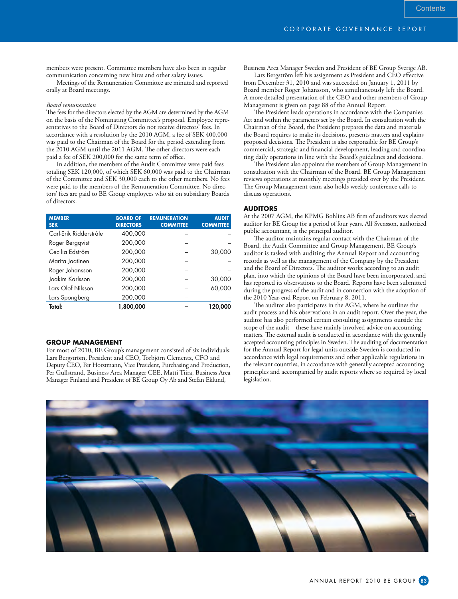**Contents** 

members were present. Committee members have also been in regular communication concerning new hires and other salary issues.

Meetings of the Remuneration Committee are minuted and reported orally at Board meetings.

#### *Board remuneration*

The fees for the directors elected by the AGM are determined by the AGM on the basis of the Nominating Committee's proposal. Employee representatives to the Board of Directors do not receive directors' fees. In accordance with a resolution by the 2010 AGM, a fee of SEK 400,000 was paid to the Chairman of the Board for the period extending from the 2010 AGM until the 2011 AGM. The other directors were each paid a fee of SEK 200,000 for the same term of office.

In addition, the members of the Audit Committee were paid fees totaling SEK 120,000, of which SEK 60,000 was paid to the Chairman of the Committee and SEK 30,000 each to the other members. No fees were paid to the members of the Remuneration Committee. No directors' fees are paid to BE Group employees who sit on subsidiary Boards of directors.

| <b>MEMBER</b><br><b>SEK</b> | <b>BOARD OF</b><br><b>DIRECTORS</b> | <b>REMUNERATION</b><br><b>COMMITTEE</b> | <b>AUDIT</b><br><b>COMMITTEE</b> |
|-----------------------------|-------------------------------------|-----------------------------------------|----------------------------------|
| Carl-Erik Ridderstråle      | 400,000                             |                                         |                                  |
| Roger Bergqvist             | 200,000                             |                                         |                                  |
| Cecilia Edström             | 200,000                             |                                         | 30,000                           |
| Marita Jaatinen             | 200,000                             |                                         |                                  |
| Roger Johansson             | 200,000                             |                                         |                                  |
| Joakim Karlsson             | 200,000                             |                                         | 30,000                           |
| Lars Olof Nilsson           | 200,000                             |                                         | 60,000                           |
| Lars Spongberg              | 200,000                             |                                         |                                  |
| Total:                      | 1,800,000                           |                                         | 120,000                          |

# **GROUP MANAGEMENT**

For most of 2010, BE Group's management consisted of six individuals: Lars Bergström, President and CEO, Torbjörn Clementz, CFO and Deputy CEO, Per Horstmann, Vice President, Purchasing and Production, Per Gullstrand, Business Area Manager CEE, Matti Tiira, Business Area Manager Finland and President of BE Group Oy Ab and Stefan Eklund,

Business Area Manager Sweden and President of BE Group Sverige AB.

Lars Bergström left his assignment as President and CEO effective from December 31, 2010 and was succeeded on January 1, 2011 by Board member Roger Johansson, who simultaneously left the Board. A more detailed presentation of the CEO and other members of Group Management is given on page 88 of the Annual Report.

The President leads operations in accordance with the Companies Act and within the parameters set by the Board. In consultation with the Chairman of the Board, the President prepares the data and materials the Board requires to make its decisions, presents matters and explains proposed decisions. The President is also responsible for BE Group's commercial, strategic and financial development, leading and coordinating daily operations in line with the Board's guidelines and decisions.

The President also appoints the members of Group Management in consultation with the Chairman of the Board. BE Group Management reviews operations at monthly meetings presided over by the President. The Group Management team also holds weekly conference calls to discuss operations.

## **AUDITORS**

At the 2007 AGM, the KPMG Bohlins AB firm of auditors was elected auditor for BE Group for a period of four years. Alf Svensson, authorized public accountant, is the principal auditor.

The auditor maintains regular contact with the Chairman of the Board, the Audit Committee and Group Management. BE Group's auditor is tasked with auditing the Annual Report and accounting records as well as the management of the Company by the President and the Board of Directors. The auditor works according to an audit plan, into which the opinions of the Board have been incorporated, and has reported its observations to the Board. Reports have been submitted during the progress of the audit and in connection with the adoption of the 2010 Year-end Report on February 8, 2011.

The auditor also participates in the AGM, where he outlines the audit process and his observations in an audit report. Over the year, the auditor has also performed certain consulting assignments outside the scope of the audit – these have mainly involved advice on accounting matters. The external audit is conducted in accordance with the generally accepted accounting principles in Sweden. The auditing of documentation for the Annual Report for legal units outside Sweden is conducted in accordance with legal requirements and other applicable regulations in the relevant countries, in accordance with generally accepted accounting principles and accompanied by audit reports where so required by local legislation.

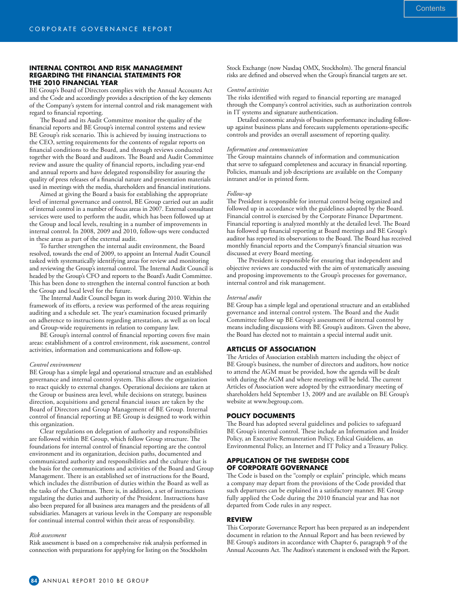## **INTERNAL CONTROL AND RISK MANAGEMENT REGARDING THE FINANCIAL STATEMENTS FOR THE 2010 FINANCIAL YEAR**

BE Group's Board of Directors complies with the Annual Accounts Act and the Code and accordingly provides a description of the key elements of the Company's system for internal control and risk management with regard to financial reporting.

The Board and its Audit Committee monitor the quality of the financial reports and BE Group's internal control systems and review BE Group's risk scenario. This is achieved by issuing instructions to the CEO, setting requirements for the contents of regular reports on financial conditions to the Board, and through reviews conducted together with the Board and auditors. The Board and Audit Committee review and assure the quality of financial reports, including year-end and annual reports and have delegated responsibility for assuring the quality of press releases of a financial nature and presentation materials used in meetings with the media, shareholders and financial institutions.

Aimed at giving the Board a basis for establishing the appropriate level of internal governance and control, BE Group carried out an audit of internal control in a number of focus areas in 2007. External consultant services were used to perform the audit, which has been followed up at the Group and local levels, resulting in a number of improvements in internal control. In 2008, 2009 and 2010, follow-ups were conducted in these areas as part of the external audit.

To further strengthen the internal audit environment, the Board resolved, towards the end of 2009, to appoint an Internal Audit Council tasked with systematically identifying areas for review and monitoring and reviewing the Group's internal control. The Internal Audit Council is headed by the Group's CFO and reports to the Board's Audit Committee. This has been done to strengthen the internal control function at both the Group and local level for the future.

The Internal Audit Council began its work during 2010. Within the framework of its efforts, a review was performed of the areas requiring auditing and a schedule set. The year's examination focused primarily on adherence to instructions regarding attestation, as well as on local and Group-wide requirements in relation to company law.

BE Group's internal control of financial reporting covers five main areas: establishment of a control environment, risk assessment, control activities, information and communications and follow-up.

#### *Control environment*

BE Group has a simple legal and operational structure and an established governance and internal control system. This allows the organization to react quickly to external changes. Operational decisions are taken at the Group or business area level, while decisions on strategy, business direction, acquisitions and general financial issues are taken by the Board of Directors and Group Management of BE Group. Internal control of financial reporting at BE Group is designed to work within this organization.

Clear regulations on delegation of authority and responsibilities are followed within BE Group, which follow Group structure. The foundations for internal control of financial reporting are the control environment and its organization, decision paths, documented and communicated authority and responsibilities and the culture that is the basis for the communications and activities of the Board and Group Management. There is an established set of instructions for the Board, which includes the distribution of duties within the Board as well as the tasks of the Chairman. There is, in addition, a set of instructions regulating the duties and authority of the President. Instructions have also been prepared for all business area managers and the presidents of all subsidiaries. Managers at various levels in the Company are responsible for continual internal control within their areas of responsibility.

## *Risk assessment*

Risk assessment is based on a comprehensive risk analysis performed in connection with preparations for applying for listing on the Stockholm

Stock Exchange (now Nasdaq OMX, Stockholm). The general financial risks are defined and observed when the Group's financial targets are set.

## *Control activities*

The risks identified with regard to financial reporting are managed through the Company's control activities, such as authorization controls in IT systems and signature authentication.

Detailed economic analysis of business performance including followup against business plans and forecasts supplements operations-specific controls and provides an overall assessment of reporting quality.

### *Information and communication*

The Group maintains channels of information and communication that serve to safeguard completeness and accuracy in financial reporting. Policies, manuals and job descriptions are available on the Company intranet and/or in printed form.

#### *Follow-up*

The President is responsible for internal control being organized and followed up in accordance with the guidelines adopted by the Board. Financial control is exercised by the Corporate Finance Department. Financial reporting is analyzed monthly at the detailed level. The Board has followed up financial reporting at Board meetings and BE Group's auditor has reported its observations to the Board. The Board has received monthly financial reports and the Company's financial situation was discussed at every Board meeting.

The President is responsible for ensuring that independent and objective reviews are conducted with the aim of systematically assessing and proposing improvements to the Group's processes for governance, internal control and risk management.

#### *Internal audit*

BE Group has a simple legal and operational structure and an established governance and internal control system. The Board and the Audit Committee follow up BE Group's assessment of internal control by means including discussions with BE Group's auditors. Given the above, the Board has elected not to maintain a special internal audit unit.

## **ARTICLES OF ASSOCIATION**

The Articles of Association establish matters including the object of BE Group's business, the number of directors and auditors, how notice to attend the AGM must be provided, how the agenda will be dealt with during the AGM and where meetings will be held. The current Articles of Association were adopted by the extraordinary meeting of shareholders held September 13, 2009 and are available on BE Group's website at www.begroup.com.

## **POLICY DOCUMENTS**

The Board has adopted several guidelines and policies to safeguard BE Group's internal control. These include an Information and Insider Policy, an Executive Remuneration Policy, Ethical Guideliens, an Environmental Policy, an Internet and IT Policy and a Treasury Policy.

## **APPLICATION OF THE SWEDISH CODE OF CORPORATE GOVERNANCE**

The Code is based on the "comply or explain" principle, which means a company may depart from the provisions of the Code provided that such departures can be explained in a satisfactory manner. BE Group fully applied the Code during the 2010 financial year and has not departed from Code rules in any respect.

#### **REVIEW**

This Corporate Governance Report has been prepared as an independent document in relation to the Annual Report and has been reviewed by BE Group's auditors in accordance with Chapter 6, paragraph 9 of the Annual Accounts Act. The Auditor's statement is enclosed with the Report.